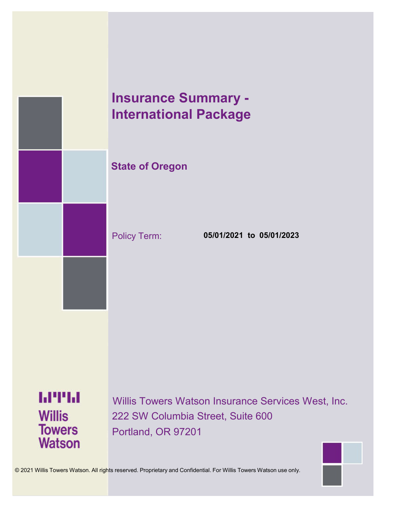

# **Insurance Summary - International Package**

Policy Term: **05/01/2021 to 05/01/2023**

**Watson** 

Willis Towers Watson Insurance Services West, Inc. 222 SW Columbia Street, Suite 600 Portland, OR 97201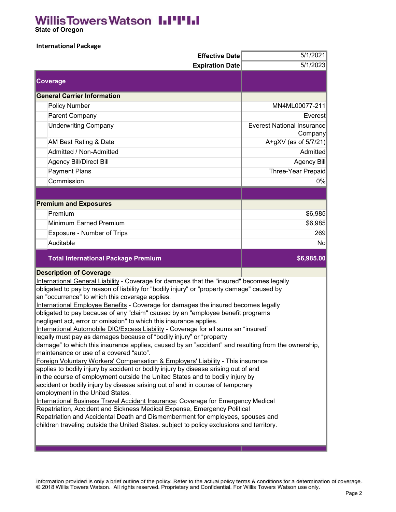### **Willis Towers Watson I.I'I'I.I**

 **State of Oregon**

### **International Package**

| <b>Effective Date</b>                                                                                                                                                  | 5/1/2021                                     |
|------------------------------------------------------------------------------------------------------------------------------------------------------------------------|----------------------------------------------|
| <b>Expiration Date</b>                                                                                                                                                 | 5/1/2023                                     |
| <b>Coverage</b>                                                                                                                                                        |                                              |
| <b>General Carrier Information</b>                                                                                                                                     |                                              |
| Policy Number                                                                                                                                                          | MN4ML00077-211                               |
| Parent Company                                                                                                                                                         | Everest                                      |
| <b>Underwriting Company</b>                                                                                                                                            | <b>Everest National Insurance</b><br>Company |
| AM Best Rating & Date                                                                                                                                                  | A+gXV (as of $5/7/21$ )                      |
| Admitted / Non-Admitted                                                                                                                                                | Admitted                                     |
| <b>Agency Bill/Direct Bill</b>                                                                                                                                         | Agency Bill                                  |
| <b>Payment Plans</b>                                                                                                                                                   | Three-Year Prepaid                           |
| Commission                                                                                                                                                             | 0%                                           |
|                                                                                                                                                                        |                                              |
| <b>Premium and Exposures</b>                                                                                                                                           |                                              |
| Premium                                                                                                                                                                | \$6,985                                      |
| Minimum Earned Premium                                                                                                                                                 | \$6,985                                      |
| Exposure - Number of Trips                                                                                                                                             | 269                                          |
| Auditable                                                                                                                                                              | No                                           |
|                                                                                                                                                                        |                                              |
| <b>Total International Package Premium</b>                                                                                                                             | \$6,985.00                                   |
| <b>Description of Coverage</b>                                                                                                                                         |                                              |
| International General Liability - Coverage for damages that the "insured" becomes legally                                                                              |                                              |
| obligated to pay by reason of liability for "bodily injury" or "property damage" caused by                                                                             |                                              |
| an "occurrence" to which this coverage applies.                                                                                                                        |                                              |
| International Employee Benefits - Coverage for damages the insured becomes legally<br>obligated to pay because of any "claim" caused by an "employee benefit programs  |                                              |
| negligent act, error or omission" to which this insurance applies.                                                                                                     |                                              |
| International Automobile DIC/Excess Liability - Coverage for all sums an "insured"                                                                                     |                                              |
| legally must pay as damages because of "bodily injury" or "property                                                                                                    |                                              |
| damage" to which this insurance applies, caused by an "accident" and resulting from the ownership,                                                                     |                                              |
| maintenance or use of a covered "auto".                                                                                                                                |                                              |
| Foreign Voluntary Workers' Compensation & Employers' Liability - This insurance<br>applies to bodily injury by accident or bodily injury by disease arising out of and |                                              |
| in the course of employment outside the United States and to bodily injury by                                                                                          |                                              |
| accident or bodily injury by disease arising out of and in course of temporary                                                                                         |                                              |
| employment in the United States.                                                                                                                                       |                                              |
| International Business Travel Accident Insurance: Coverage for Emergency Medical<br>Repatriation, Accident and Sickness Medical Expense, Emergency Political           |                                              |
| Repatriation and Accidental Death and Dismemberment for employees, spouses and                                                                                         |                                              |
| children traveling outside the United States. subject to policy exclusions and territory.                                                                              |                                              |

Information provided is only a brief outline of the policy. Refer to the actual policy terms & conditions for a determination of coverage.<br>© 2018 Willis Towers Watson. All rights reserved. Proprietary and Confidential. For

m n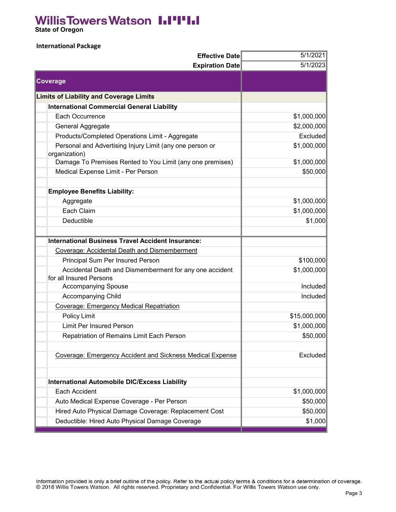## **Willis Towers Watson I.I'I'I.I**

 **State of Oregon**

### **International Package**

| 5/1/2023<br><b>Expiration Date</b><br>Coverage<br><b>Limits of Liability and Coverage Limits</b><br><b>International Commercial General Liability</b><br>Each Occurrence<br>\$1,000,000<br>\$2,000,000<br>General Aggregate<br>Excluded<br>Products/Completed Operations Limit - Aggregate<br>\$1,000,000<br>Personal and Advertising Injury Limit (any one person or<br>organization)<br>Damage To Premises Rented to You Limit (any one premises)<br>\$1,000,000<br>Medical Expense Limit - Per Person<br>\$50,000 |
|----------------------------------------------------------------------------------------------------------------------------------------------------------------------------------------------------------------------------------------------------------------------------------------------------------------------------------------------------------------------------------------------------------------------------------------------------------------------------------------------------------------------|
|                                                                                                                                                                                                                                                                                                                                                                                                                                                                                                                      |
|                                                                                                                                                                                                                                                                                                                                                                                                                                                                                                                      |
|                                                                                                                                                                                                                                                                                                                                                                                                                                                                                                                      |
|                                                                                                                                                                                                                                                                                                                                                                                                                                                                                                                      |
|                                                                                                                                                                                                                                                                                                                                                                                                                                                                                                                      |
|                                                                                                                                                                                                                                                                                                                                                                                                                                                                                                                      |
|                                                                                                                                                                                                                                                                                                                                                                                                                                                                                                                      |
|                                                                                                                                                                                                                                                                                                                                                                                                                                                                                                                      |
|                                                                                                                                                                                                                                                                                                                                                                                                                                                                                                                      |
|                                                                                                                                                                                                                                                                                                                                                                                                                                                                                                                      |
|                                                                                                                                                                                                                                                                                                                                                                                                                                                                                                                      |
|                                                                                                                                                                                                                                                                                                                                                                                                                                                                                                                      |
| <b>Employee Benefits Liability:</b>                                                                                                                                                                                                                                                                                                                                                                                                                                                                                  |
| \$1,000,000<br>Aggregate                                                                                                                                                                                                                                                                                                                                                                                                                                                                                             |
| \$1,000,000<br>Each Claim                                                                                                                                                                                                                                                                                                                                                                                                                                                                                            |
| \$1,000<br>Deductible                                                                                                                                                                                                                                                                                                                                                                                                                                                                                                |
|                                                                                                                                                                                                                                                                                                                                                                                                                                                                                                                      |
| <b>International Business Travel Accident Insurance:</b>                                                                                                                                                                                                                                                                                                                                                                                                                                                             |
| Coverage: Accidental Death and Dismemberment                                                                                                                                                                                                                                                                                                                                                                                                                                                                         |
| Principal Sum Per Insured Person<br>\$100,000                                                                                                                                                                                                                                                                                                                                                                                                                                                                        |
| \$1,000,000<br>Accidental Death and Dismemberment for any one accident<br>for all Insured Persons                                                                                                                                                                                                                                                                                                                                                                                                                    |
| Included<br>Accompanying Spouse                                                                                                                                                                                                                                                                                                                                                                                                                                                                                      |
| Accompanying Child<br>Included                                                                                                                                                                                                                                                                                                                                                                                                                                                                                       |
| Coverage: Emergency Medical Repatriation                                                                                                                                                                                                                                                                                                                                                                                                                                                                             |
| Policy Limit<br>\$15,000,000                                                                                                                                                                                                                                                                                                                                                                                                                                                                                         |
| <b>Limit Per Insured Person</b><br>\$1,000,000                                                                                                                                                                                                                                                                                                                                                                                                                                                                       |
| \$50,000<br>Repatriation of Remains Limit Each Person                                                                                                                                                                                                                                                                                                                                                                                                                                                                |
|                                                                                                                                                                                                                                                                                                                                                                                                                                                                                                                      |
| Coverage: Emergency Accident and Sickness Medical Expense<br>Excluded                                                                                                                                                                                                                                                                                                                                                                                                                                                |
|                                                                                                                                                                                                                                                                                                                                                                                                                                                                                                                      |
| <b>International Automobile DIC/Excess Liability</b>                                                                                                                                                                                                                                                                                                                                                                                                                                                                 |
| Each Accident<br>\$1,000,000                                                                                                                                                                                                                                                                                                                                                                                                                                                                                         |
| \$50,000<br>Auto Medical Expense Coverage - Per Person                                                                                                                                                                                                                                                                                                                                                                                                                                                               |
| Hired Auto Physical Damage Coverage: Replacement Cost<br>\$50,000                                                                                                                                                                                                                                                                                                                                                                                                                                                    |
| Deductible: Hired Auto Physical Damage Coverage<br>\$1,000                                                                                                                                                                                                                                                                                                                                                                                                                                                           |

Information provided is only a brief outline of the policy. Refer to the actual policy terms & conditions for a determination of coverage.<br>© 2018 Willis Towers Watson. All rights reserved. Proprietary and Confidential. For